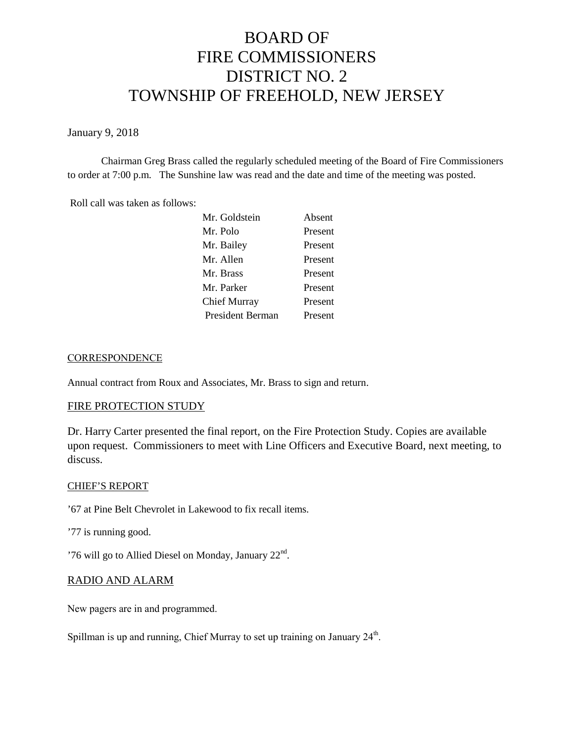# BOARD OF FIRE COMMISSIONERS DISTRICT NO. 2 TOWNSHIP OF FREEHOLD, NEW JERSEY

January 9, 2018

Chairman Greg Brass called the regularly scheduled meeting of the Board of Fire Commissioners to order at 7:00 p.m. The Sunshine law was read and the date and time of the meeting was posted.

Roll call was taken as follows:

| Absent  |
|---------|
| Present |
| Present |
| Present |
| Present |
| Present |
| Present |
| Present |
|         |

## **CORRESPONDENCE**

Annual contract from Roux and Associates, Mr. Brass to sign and return.

# FIRE PROTECTION STUDY

Dr. Harry Carter presented the final report, on the Fire Protection Study. Copies are available upon request. Commissioners to meet with Line Officers and Executive Board, next meeting, to discuss.

## CHIEF'S REPORT

'67 at Pine Belt Chevrolet in Lakewood to fix recall items.

'77 is running good.

'76 will go to Allied Diesel on Monday, January 22<sup>nd</sup>.

# RADIO AND ALARM

New pagers are in and programmed.

Spillman is up and running, Chief Murray to set up training on January 24<sup>th</sup>.